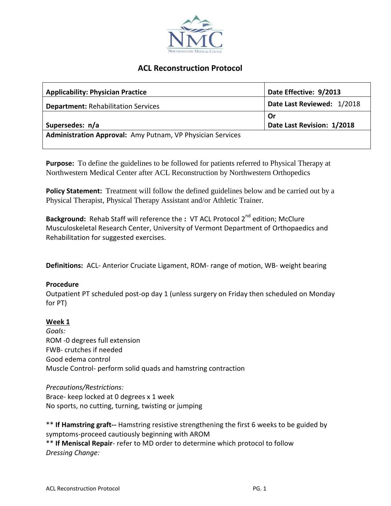

# **ACL Reconstruction Protocol**

| <b>Applicability: Physician Practice</b>                   | Date Effective: 9/2013     |
|------------------------------------------------------------|----------------------------|
| <b>Department: Rehabilitation Services</b>                 | Date Last Reviewed: 1/2018 |
|                                                            | Or                         |
| Supersedes: n/a                                            | Date Last Revision: 1/2018 |
| Administration Approval: Amy Putnam, VP Physician Services |                            |

**Purpose:** To define the guidelines to be followed for patients referred to Physical Therapy at Northwestern Medical Center after ACL Reconstruction by Northwestern Orthopedics

**Policy Statement:** Treatment will follow the defined guidelines below and be carried out by a Physical Therapist, Physical Therapy Assistant and/or Athletic Trainer.

**Background:** Rehab Staff will reference the **:** VT ACL Protocol 2nd edition; McClure Musculoskeletal Research Center, University of Vermont Department of Orthopaedics and Rehabilitation for suggested exercises.

**Definitions:** ACL- Anterior Cruciate Ligament, ROM- range of motion, WB- weight bearing

## **Procedure**

Outpatient PT scheduled post-op day 1 (unless surgery on Friday then scheduled on Monday for PT)

## **Week 1**

*Goals:* ROM -0 degrees full extension FWB- crutches if needed Good edema control Muscle Control- perform solid quads and hamstring contraction

*Precautions/Restrictions:* Brace- keep locked at 0 degrees x 1 week No sports, no cutting, turning, twisting or jumping

\*\* **If Hamstring graft--** Hamstring resistive strengthening the first 6 weeks to be guided by symptoms-proceed cautiously beginning with AROM \*\* **If Meniscal Repair**- refer to MD order to determine which protocol to follow *Dressing Change:*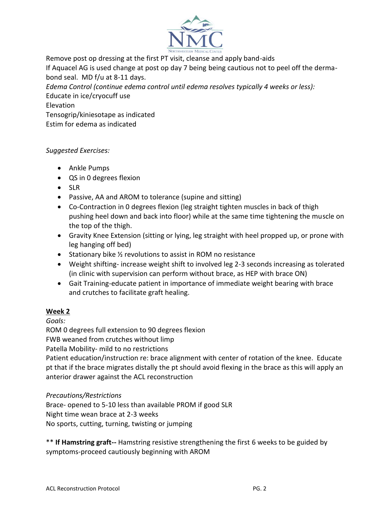

Remove post op dressing at the first PT visit, cleanse and apply band-aids

If Aquacel AG is used change at post op day 7 being being cautious not to peel off the dermabond seal. MD f/u at 8-11 days.

*Edema Control (continue edema control until edema resolves typically 4 weeks or less):* Educate in ice/cryocuff use Elevation Tensogrip/kiniesotape as indicated

Estim for edema as indicated

# *Suggested Exercises:*

- Ankle Pumps
- QS in 0 degrees flexion
- SLR
- Passive, AA and AROM to tolerance (supine and sitting)
- Co-Contraction in 0 degrees flexion (leg straight tighten muscles in back of thigh pushing heel down and back into floor) while at the same time tightening the muscle on the top of the thigh.
- Gravity Knee Extension (sitting or lying, leg straight with heel propped up, or prone with leg hanging off bed)
- Stationary bike ½ revolutions to assist in ROM no resistance
- Weight shifting- increase weight shift to involved leg 2-3 seconds increasing as tolerated (in clinic with supervision can perform without brace, as HEP with brace ON)
- Gait Training-educate patient in importance of immediate weight bearing with brace and crutches to facilitate graft healing.

# **Week 2**

*Goals:*

ROM 0 degrees full extension to 90 degrees flexion

FWB weaned from crutches without limp

Patella Mobility- mild to no restrictions

Patient education/instruction re: brace alignment with center of rotation of the knee. Educate pt that if the brace migrates distally the pt should avoid flexing in the brace as this will apply an anterior drawer against the ACL reconstruction

# *Precautions/Restrictions*

Brace- opened to 5-10 less than available PROM if good SLR Night time wean brace at 2-3 weeks No sports, cutting, turning, twisting or jumping

\*\* **If Hamstring graft--** Hamstring resistive strengthening the first 6 weeks to be guided by symptoms-proceed cautiously beginning with AROM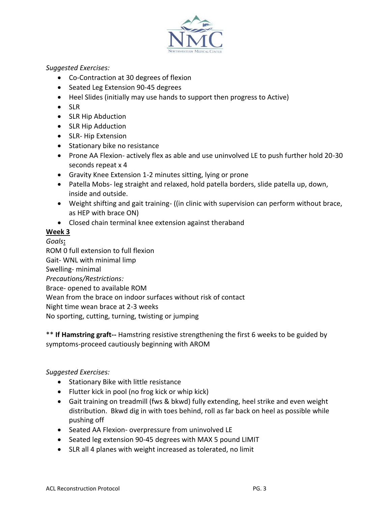

# *Suggested Exercises:*

- Co-Contraction at 30 degrees of flexion
- Seated Leg Extension 90-45 degrees
- Heel Slides (initially may use hands to support then progress to Active)
- SLR
- SLR Hip Abduction
- SLR Hip Adduction
- SLR- Hip Extension
- Stationary bike no resistance
- Prone AA Flexion- actively flex as able and use uninvolved LE to push further hold 20-30 seconds repeat x 4
- Gravity Knee Extension 1-2 minutes sitting, lying or prone
- Patella Mobs- leg straight and relaxed, hold patella borders, slide patella up, down, inside and outside.
- Weight shifting and gait training- ((in clinic with supervision can perform without brace, as HEP with brace ON)
- Closed chain terminal knee extension against theraband

# **Week 3**

*Goals***:** ROM 0 full extension to full flexion Gait- WNL with minimal limp Swelling- minimal *Precautions/Restrictions:* Brace- opened to available ROM Wean from the brace on indoor surfaces without risk of contact Night time wean brace at 2-3 weeks No sporting, cutting, turning, twisting or jumping

# \*\* **If Hamstring graft--** Hamstring resistive strengthening the first 6 weeks to be guided by symptoms-proceed cautiously beginning with AROM

# *Suggested Exercises:*

- Stationary Bike with little resistance
- Flutter kick in pool (no frog kick or whip kick)
- Gait training on treadmill (fws & bkwd) fully extending, heel strike and even weight distribution. Bkwd dig in with toes behind, roll as far back on heel as possible while pushing off
- Seated AA Flexion- overpressure from uninvolved LE
- Seated leg extension 90-45 degrees with MAX 5 pound LIMIT
- SLR all 4 planes with weight increased as tolerated, no limit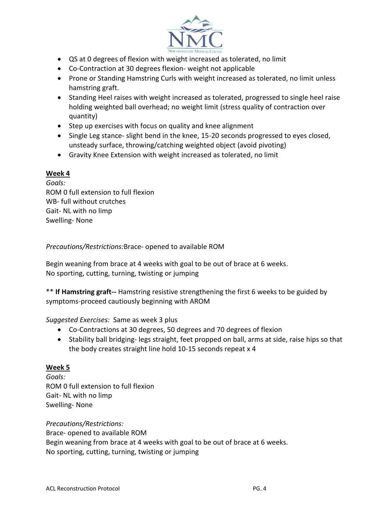

- QS at 0 degrees of flexion with weight increased as tolerated, no limit
- Co-Contraction at 30 degrees flexion- weight not applicable
- Prone or Standing Hamstring Curls with weight increased as tolerated, no limit unless hamstring graft.
- Standing Heel raises with weight increased as tolerated, progressed to single heel raise holding weighted ball overhead; no weight limit (stress quality of contraction over quantity)
- Step up exercises with focus on quality and knee alignment
- Single Leg stance- slight bend in the knee, 15-20 seconds progressed to eyes closed, unsteady surface, throwing/catching weighted object (avoid pivoting)
- Gravity Knee Extension with weight increased as tolerated, no limit

# **Week 4**

*Goals:* ROM 0 full extension to full flexion WB- full without crutches Gait- NL with no limp Swelling- None

*Precautions/Restrictions:*Brace- opened to available ROM

Begin weaning from brace at 4 weeks with goal to be out of brace at 6 weeks. No sporting, cutting, turning, twisting or jumping

\*\* **If Hamstring graft--** Hamstring resistive strengthening the first 6 weeks to be guided by symptoms-proceed cautiously beginning with AROM

## *Suggested Exercises:* Same as week 3 plus

- Co-Contractions at 30 degrees, 50 degrees and 70 degrees of flexion
- Stability ball bridging- legs straight, feet propped on ball, arms at side, raise hips so that the body creates straight line hold 10-15 seconds repeat x 4

## **Week 5**

*Goals:* ROM 0 full extension to full flexion Gait- NL with no limp Swelling- None

*Precautions/Restrictions:* Brace- opened to available ROM Begin weaning from brace at 4 weeks with goal to be out of brace at 6 weeks. No sporting, cutting, turning, twisting or jumping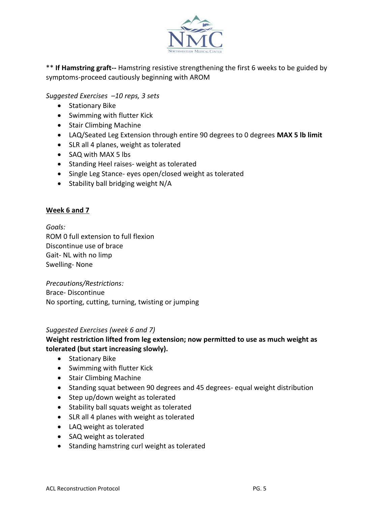

\*\* **If Hamstring graft--** Hamstring resistive strengthening the first 6 weeks to be guided by symptoms-proceed cautiously beginning with AROM

*Suggested Exercises –10 reps, 3 sets*

- Stationary Bike
- Swimming with flutter Kick
- Stair Climbing Machine
- LAQ/Seated Leg Extension through entire 90 degrees to 0 degrees **MAX 5 lb limit**
- SLR all 4 planes, weight as tolerated
- SAQ with MAX 5 lbs
- Standing Heel raises- weight as tolerated
- Single Leg Stance- eyes open/closed weight as tolerated
- Stability ball bridging weight N/A

# **Week 6 and 7**

*Goals:* ROM 0 full extension to full flexion Discontinue use of brace Gait- NL with no limp Swelling- None

*Precautions/Restrictions:* Brace- Discontinue No sporting, cutting, turning, twisting or jumping

## *Suggested Exercises (week 6 and 7)*

# **Weight restriction lifted from leg extension; now permitted to use as much weight as tolerated (but start increasing slowly).**

- Stationary Bike
- **•** Swimming with flutter Kick
- Stair Climbing Machine
- Standing squat between 90 degrees and 45 degrees- equal weight distribution
- Step up/down weight as tolerated
- Stability ball squats weight as tolerated
- SLR all 4 planes with weight as tolerated
- LAQ weight as tolerated
- SAQ weight as tolerated
- Standing hamstring curl weight as tolerated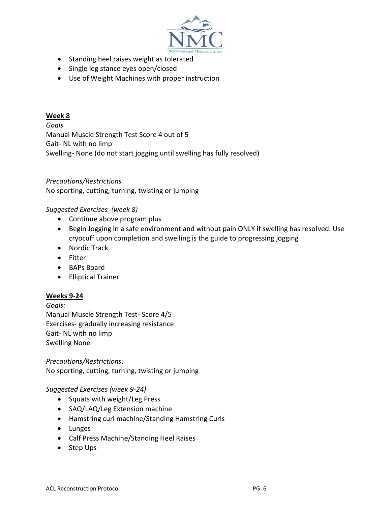

- Standing heel raises weight as tolerated
- Single leg stance eyes open/closed
- Use of Weight Machines with proper instruction

## **Week 8**

*Goals* Manual Muscle Strength Test Score 4 out of 5 Gait- NL with no limp Swelling- None (do not start jogging until swelling has fully resolved)

## *Precautions/Restrictions*

No sporting, cutting, turning, twisting or jumping

#### *Suggested Exercises (week 8)*

- Continue above program plus
- Begin Jogging in a safe environment and without pain ONLY if swelling has resolved. Use cryocuff upon completion and swelling is the guide to progressing jogging
- Nordic Track
- Fitter
- BAPs Board
- Elliptical Trainer

#### **Weeks 9-24**

*Goals:* Manual Muscle Strength Test- Score 4/5 Exercises- gradually increasing resistance Gait- NL with no limp Swelling None

*Precautions/Restrictions:* No sporting, cutting, turning, twisting or jumping

#### *Suggested Exercises (week 9-24)*

- Squats with weight/Leg Press
- SAQ/LAQ/Leg Extension machine
- Hamstring curl machine/Standing Hamstring Curls
- Lunges
- Calf Press Machine/Standing Heel Raises
- Step Ups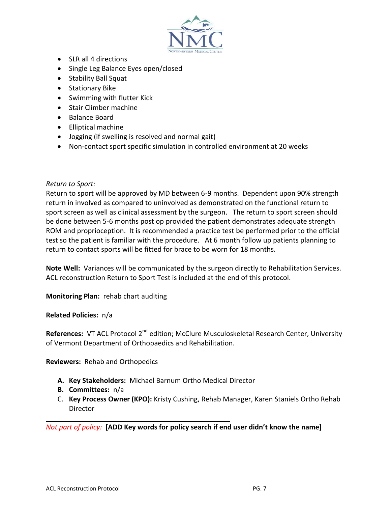

- SLR all 4 directions
- Single Leg Balance Eyes open/closed
- Stability Ball Squat
- **•** Stationary Bike
- Swimming with flutter Kick
- Stair Climber machine
- Balance Board
- Elliptical machine
- Jogging (if swelling is resolved and normal gait)
- Non-contact sport specific simulation in controlled environment at 20 weeks

#### *Return to Sport:*

Return to sport will be approved by MD between 6-9 months. Dependent upon 90% strength return in involved as compared to uninvolved as demonstrated on the functional return to sport screen as well as clinical assessment by the surgeon. The return to sport screen should be done between 5-6 months post op provided the patient demonstrates adequate strength ROM and proprioception. It is recommended a practice test be performed prior to the official test so the patient is familiar with the procedure. At 6 month follow up patients planning to return to contact sports will be fitted for brace to be worn for 18 months.

**Note Well:** Variances will be communicated by the surgeon directly to Rehabilitation Services. ACL reconstruction Return to Sport Test is included at the end of this protocol.

**Monitoring Plan:** rehab chart auditing

## **Related Policies:** n/a

**References:** VT ACL Protocol 2<sup>nd</sup> edition; McClure Musculoskeletal Research Center, University of Vermont Department of Orthopaedics and Rehabilitation.

**Reviewers:** Rehab and Orthopedics

- **A. Key Stakeholders:** Michael Barnum Ortho Medical Director
- **B. Committees:** n/a
- C. **Key Process Owner (KPO):** Kristy Cushing, Rehab Manager, Karen Staniels Ortho Rehab Director

*Not part of policy:* **[ADD Key words for policy search if end user didn't know the name]**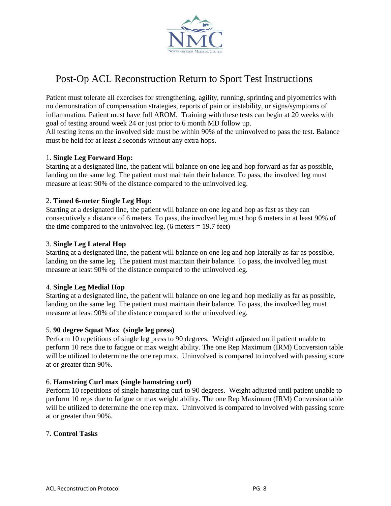

# Post-Op ACL Reconstruction Return to Sport Test Instructions

Patient must tolerate all exercises for strengthening, agility, running, sprinting and plyometrics with no demonstration of compensation strategies, reports of pain or instability, or signs/symptoms of inflammation. Patient must have full AROM. Training with these tests can begin at 20 weeks with goal of testing around week 24 or just prior to 6 month MD follow up.

All testing items on the involved side must be within 90% of the uninvolved to pass the test. Balance must be held for at least 2 seconds without any extra hops.

## 1. **Single Leg Forward Hop:**

Starting at a designated line, the patient will balance on one leg and hop forward as far as possible, landing on the same leg. The patient must maintain their balance. To pass, the involved leg must measure at least 90% of the distance compared to the uninvolved leg.

#### 2. **Timed 6-meter Single Leg Hop:**

Starting at a designated line, the patient will balance on one leg and hop as fast as they can consecutively a distance of 6 meters. To pass, the involved leg must hop 6 meters in at least 90% of the time compared to the uninvolved leg.  $(6 \text{ meters} = 19.7 \text{ feet})$ 

#### 3. **Single Leg Lateral Hop**

Starting at a designated line, the patient will balance on one leg and hop laterally as far as possible, landing on the same leg. The patient must maintain their balance. To pass, the involved leg must measure at least 90% of the distance compared to the uninvolved leg.

## 4. **Single Leg Medial Hop**

Starting at a designated line, the patient will balance on one leg and hop medially as far as possible, landing on the same leg. The patient must maintain their balance. To pass, the involved leg must measure at least 90% of the distance compared to the uninvolved leg.

#### 5. **90 degree Squat Max (single leg press)**

Perform 10 repetitions of single leg press to 90 degrees. Weight adjusted until patient unable to perform 10 reps due to fatigue or max weight ability. The one Rep Maximum (IRM) Conversion table will be utilized to determine the one rep max. Uninvolved is compared to involved with passing score at or greater than 90%.

#### 6. **Hamstring Curl max (single hamstring curl)**

Perform 10 repetitions of single hamstring curl to 90 degrees. Weight adjusted until patient unable to perform 10 reps due to fatigue or max weight ability. The one Rep Maximum (IRM) Conversion table will be utilized to determine the one rep max. Uninvolved is compared to involved with passing score at or greater than 90%.

#### 7. **Control Tasks**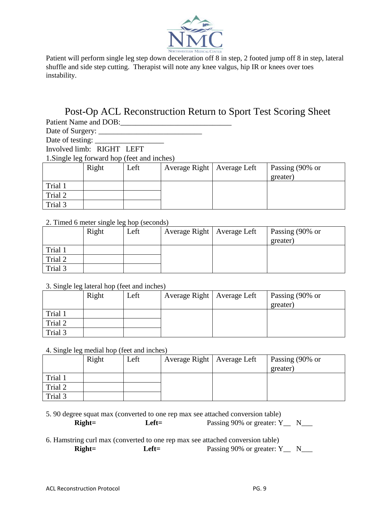

Patient will perform single leg step down deceleration off 8 in step, 2 footed jump off 8 in step, lateral shuffle and side step cutting. Therapist will note any knee valgus, hip IR or knees over toes instability.

# Post-Op ACL Reconstruction Return to Sport Test Scoring Sheet Patient Name and DOB:\_\_\_\_\_\_\_\_\_\_\_\_\_\_\_\_\_\_\_\_\_\_\_\_\_\_\_\_\_

Date of Surgery: \_\_\_\_\_\_\_\_\_\_\_\_\_\_\_\_\_\_\_\_\_\_\_\_\_\_\_

Date of testing: \_\_\_\_\_\_\_\_\_\_\_\_\_\_\_\_\_\_ Involved limb: RIGHT LEFT

1.Single leg forward hop (feet and inches)

|         | Right | Left | Average Right   Average Left | Passing (90% or<br>greater) |
|---------|-------|------|------------------------------|-----------------------------|
| Trial 1 |       |      |                              |                             |
| Trial 2 |       |      |                              |                             |
| Trial 3 |       |      |                              |                             |

# 2. Timed 6 meter single leg hop (seconds)

|         | Right | Left | Average Right   Average Left | Passing (90% or |
|---------|-------|------|------------------------------|-----------------|
|         |       |      |                              | greater)        |
| Trial 1 |       |      |                              |                 |
| Trial 2 |       |      |                              |                 |
| Trial 3 |       |      |                              |                 |

## 3. Single leg lateral hop (feet and inches)

|         | Right | Left | Average Right   Average Left | Passing (90% or<br>greater) |
|---------|-------|------|------------------------------|-----------------------------|
| Trial 1 |       |      |                              |                             |
| Trial 2 |       |      |                              |                             |
| Trial 3 |       |      |                              |                             |

4. Single leg medial hop (feet and inches)

|         | Right | Left | Average Right   Average Left | Passing (90% or |
|---------|-------|------|------------------------------|-----------------|
|         |       |      |                              | greater)        |
| Trial 1 |       |      |                              |                 |
| Trial 2 |       |      |                              |                 |
| Trial 3 |       |      |                              |                 |

|          |       | 5. 90 degree squat max (converted to one rep max see attached conversion table) |  |
|----------|-------|---------------------------------------------------------------------------------|--|
| $Right=$ | Left= | Passing 90% or greater: $Y_$ N_                                                 |  |

# 6. Hamstring curl max (converted to one rep max see attached conversion table)

| $Right=$ | $Left =$ | Passing 90% or greater: $Y_$ N_ |  |
|----------|----------|---------------------------------|--|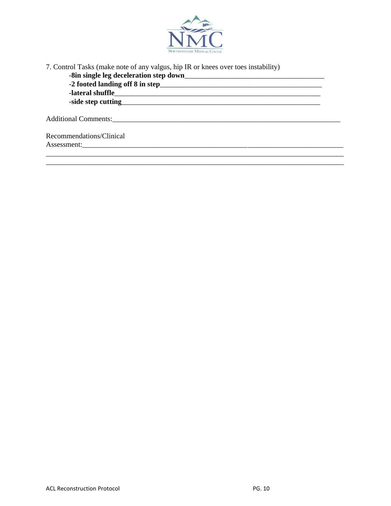

7. Control Tasks (make note of any valgus, hip IR or knees over toes instability)

| -lateral shuffle         |  |
|--------------------------|--|
|                          |  |
|                          |  |
| Recommendations/Clinical |  |
|                          |  |

\_\_\_\_\_\_\_\_\_\_\_\_\_\_\_\_\_\_\_\_\_\_\_\_\_\_\_\_\_\_\_\_\_\_\_\_\_\_\_\_\_\_\_\_\_\_\_\_\_\_\_\_\_\_\_\_\_\_\_\_\_\_\_\_\_\_\_\_\_\_\_\_\_\_\_\_\_\_\_\_\_ \_\_\_\_\_\_\_\_\_\_\_\_\_\_\_\_\_\_\_\_\_\_\_\_\_\_\_\_\_\_\_\_\_\_\_\_\_\_\_\_\_\_\_\_\_\_\_\_\_\_\_\_\_\_\_\_\_\_\_\_\_\_\_\_\_\_\_\_\_\_\_\_\_\_\_\_\_\_\_\_\_